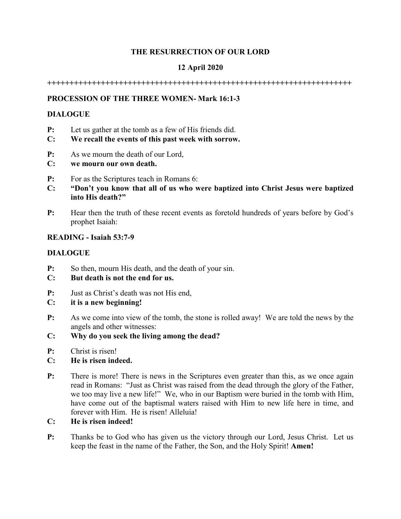### **THE RESURRECTION OF OUR LORD**

## **12 April 2020**

**++++++++++++++++++++++++++++++++++++++++++++++++++++++++++++++++++++**

## **PROCESSION OF THE THREE WOMEN- Mark 16:1-3**

#### **DIALOGUE**

- **P:** Let us gather at the tomb as a few of His friends did.
- **C: We recall the events of this past week with sorrow.**
- **P:** As we mourn the death of our Lord,
- **C: we mourn our own death.**
- **P:** For as the Scriptures teach in Romans 6:
- **C: "Don't you know that all of us who were baptized into Christ Jesus were baptized into His death?"**
- **P:** Hear then the truth of these recent events as foretold hundreds of years before by God's prophet Isaiah:

#### **READING - Isaiah 53:7-9**

#### **DIALOGUE**

**P:** So then, mourn His death, and the death of your sin.

### **C: But death is not the end for us.**

- **P:** Just as Christ's death was not His end,
- **C: it is a new beginning!**
- **P:** As we come into view of the tomb, the stone is rolled away! We are told the news by the angels and other witnesses:
- **C: Why do you seek the living among the dead?**
- **P:** Christ is risen!

### **C: He is risen indeed.**

- **P:** There is more! There is news in the Scriptures even greater than this, as we once again read in Romans: "Just as Christ was raised from the dead through the glory of the Father, we too may live a new life!" We, who in our Baptism were buried in the tomb with Him, have come out of the baptismal waters raised with Him to new life here in time, and forever with Him. He is risen! Alleluia!
- **C: He is risen indeed!**
- **P:** Thanks be to God who has given us the victory through our Lord, Jesus Christ. Let us keep the feast in the name of the Father, the Son, and the Holy Spirit! **Amen!**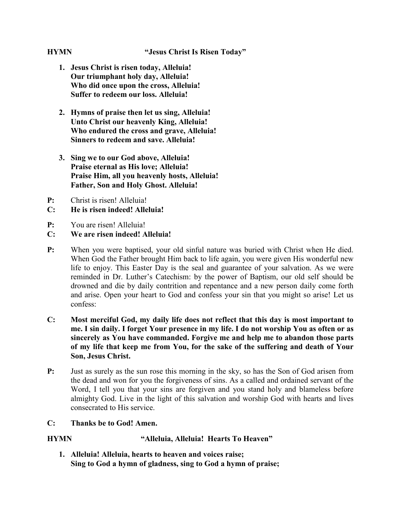- **1. Jesus Christ is risen today, Alleluia! Our triumphant holy day, Alleluia! Who did once upon the cross, Alleluia! Suffer to redeem our loss. Alleluia!**
- **2. Hymns of praise then let us sing, Alleluia! Unto Christ our heavenly King, Alleluia! Who endured the cross and grave, Alleluia! Sinners to redeem and save. Alleluia!**
- **3. Sing we to our God above, Alleluia! Praise eternal as His love; Alleluia! Praise Him, all you heavenly hosts, Alleluia! Father, Son and Holy Ghost. Alleluia!**
- **P:** Christ is risen! Alleluia!
- **C: He is risen indeed! Alleluia!**
- **P:** You are risen! Alleluia!
- **C: We are risen indeed! Alleluia!**
- **P:** When you were baptised, your old sinful nature was buried with Christ when He died. When God the Father brought Him back to life again, you were given His wonderful new life to enjoy. This Easter Day is the seal and guarantee of your salvation. As we were reminded in Dr. Luther's Catechism: by the power of Baptism, our old self should be drowned and die by daily contrition and repentance and a new person daily come forth and arise. Open your heart to God and confess your sin that you might so arise! Let us confess:
- **C: Most merciful God, my daily life does not reflect that this day is most important to me. I sin daily. I forget Your presence in my life. I do not worship You as often or as sincerely as You have commanded. Forgive me and help me to abandon those parts of my life that keep me from You, for the sake of the suffering and death of Your Son, Jesus Christ.**
- **P:** Just as surely as the sun rose this morning in the sky, so has the Son of God arisen from the dead and won for you the forgiveness of sins. As a called and ordained servant of the Word, I tell you that your sins are forgiven and you stand holy and blameless before almighty God. Live in the light of this salvation and worship God with hearts and lives consecrated to His service.
- **C: Thanks be to God! Amen.**

# **HYMN "Alleluia, Alleluia! Hearts To Heaven"**

**1. Alleluia! Alleluia, hearts to heaven and voices raise; Sing to God a hymn of gladness, sing to God a hymn of praise;**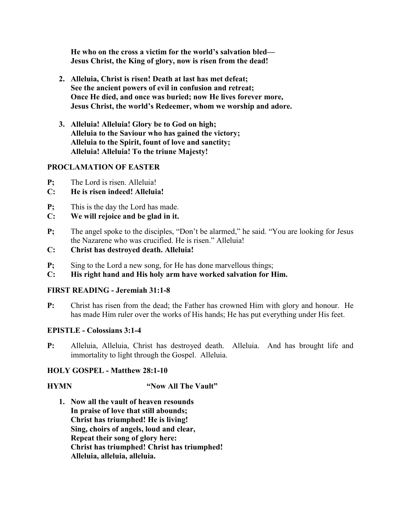**He who on the cross a victim for the world's salvation bled— Jesus Christ, the King of glory, now is risen from the dead!**

- **2. Alleluia, Christ is risen! Death at last has met defeat; See the ancient powers of evil in confusion and retreat; Once He died, and once was buried; now He lives forever more, Jesus Christ, the world's Redeemer, whom we worship and adore.**
- **3. Alleluia! Alleluia! Glory be to God on high; Alleluia to the Saviour who has gained the victory; Alleluia to the Spirit, fount of love and sanctity; Alleluia! Alleluia! To the triune Majesty!**

#### **PROCLAMATION OF EASTER**

- **P;** The Lord is risen. Alleluia!
- **C: He is risen indeed! Alleluia!**
- **P;** This is the day the Lord has made.
- **C: We will rejoice and be glad in it.**
- **P;** The angel spoke to the disciples, "Don't be alarmed," he said. "You are looking for Jesus the Nazarene who was crucified. He is risen." Alleluia!
- **C: Christ has destroyed death. Alleluia!**
- **P**; Sing to the Lord a new song, for He has done marvellous things;
- **C: His right hand and His holy arm have worked salvation for Him.**

### **FIRST READING - Jeremiah 31:1-8**

**P:** Christ has risen from the dead; the Father has crowned Him with glory and honour. He has made Him ruler over the works of His hands; He has put everything under His feet.

### **EPISTLE - Colossians 3:1-4**

**P:** Alleluia, Alleluia, Christ has destroyed death. Alleluia. And has brought life and immortality to light through the Gospel. Alleluia.

### **HOLY GOSPEL - Matthew 28:1-10**

### **HYMN** "Now All The Vault"

**1. Now all the vault of heaven resounds In praise of love that still abounds; Christ has triumphed! He is living! Sing, choirs of angels, loud and clear, Repeat their song of glory here: Christ has triumphed! Christ has triumphed! Alleluia, alleluia, alleluia.**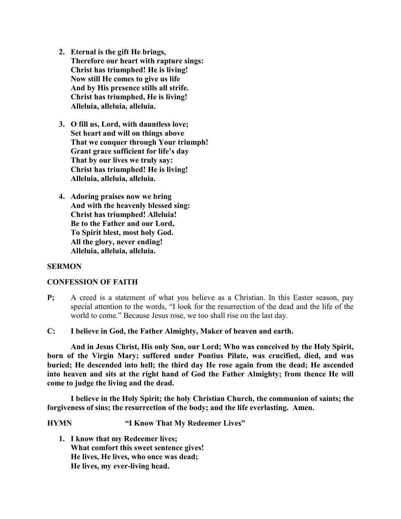- **2. Eternal is the gift He brings, Therefore our heart with rapture sings: Christ has triumphed! He is living! Now still He comes to give us life And by His presence stills all strife. Christ has triumphed, He is living! Alleluia, alleluia, alleluia.**
- **3. O fill us, Lord, with dauntless love; Set heart and will on things above That we conquer through Your triumph! Grant grace sufficient for life's day That by our lives we truly say: Christ has triumphed! He is living! Alleluia, alleluia, alleluia.**
- **4. Adoring praises now we bring And with the heavenly blessed sing: Christ has triumphed! Alleluia! Be to the Father and our Lord, To Spirit blest, most holy God. All the glory, never ending! Alleluia, alleluia, alleluia.**

#### **SERMON**

#### **CONFESSION OF FAITH**

- **P;** A creed is a statement of what you believe as a Christian. In this Easter season, pay special attention to the words, "I look for the resurrection of the dead and the life of the world to come." Because Jesus rose, we too shall rise on the last day.
- **C: I believe in God, the Father Almighty, Maker of heaven and earth.**

**And in Jesus Christ, His only Son, our Lord; Who was conceived by the Holy Spirit, born of the Virgin Mary; suffered under Pontius Pilate, was crucified, died, and was buried; He descended into hell; the third day He rose again from the dead; He ascended into heaven and sits at the right hand of God the Father Almighty; from thence He will come to judge the living and the dead.**

**I believe in the Holy Spirit; the holy Christian Church, the communion of saints; the forgiveness of sins; the resurrection of the body; and the life everlasting. Amen.**

**HYMN "I Know That My Redeemer Lives"**

**1. I know that my Redeemer lives; What comfort this sweet sentence gives! He lives, He lives, who once was dead; He lives, my ever-living head.**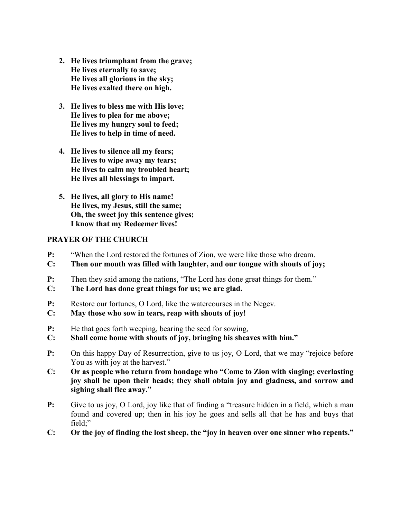- **2. He lives triumphant from the grave; He lives eternally to save; He lives all glorious in the sky; He lives exalted there on high.**
- **3. He lives to bless me with His love; He lives to plea for me above; He lives my hungry soul to feed; He lives to help in time of need.**
- **4. He lives to silence all my fears; He lives to wipe away my tears; He lives to calm my troubled heart; He lives all blessings to impart.**
- **5. He lives, all glory to His name! He lives, my Jesus, still the same; Oh, the sweet joy this sentence gives; I know that my Redeemer lives!**

#### **PRAYER OF THE CHURCH**

- **P:** "When the Lord restored the fortunes of Zion, we were like those who dream.
- **C: Then our mouth was filled with laughter, and our tongue with shouts of joy;**
- **P:** Then they said among the nations, "The Lord has done great things for them."
- **C: The Lord has done great things for us; we are glad.**
- **P:** Restore our fortunes, O Lord, like the watercourses in the Negev.
- **C: May those who sow in tears, reap with shouts of joy!**
- **P:** He that goes forth weeping, bearing the seed for sowing,
- **C: Shall come home with shouts of joy, bringing his sheaves with him."**
- **P:** On this happy Day of Resurrection, give to us joy, O Lord, that we may "rejoice before You as with joy at the harvest."
- **C: Or as people who return from bondage who "Come to Zion with singing; everlasting joy shall be upon their heads; they shall obtain joy and gladness, and sorrow and sighing shall flee away."**
- **P:** Give to us joy, O Lord, joy like that of finding a "treasure hidden in a field, which a man found and covered up; then in his joy he goes and sells all that he has and buys that field;"
- **C: Or the joy of finding the lost sheep, the "joy in heaven over one sinner who repents."**